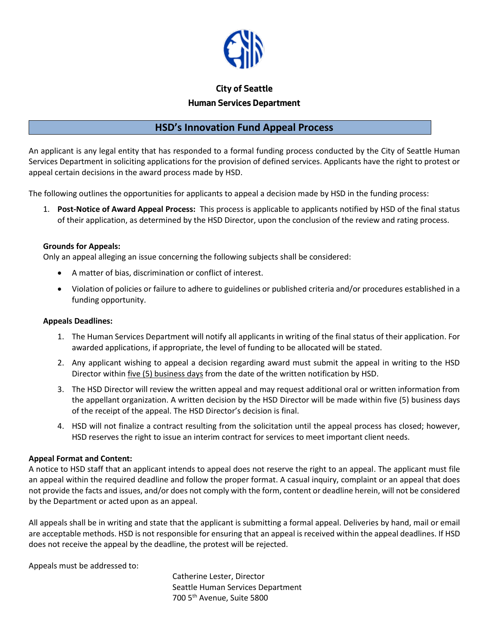

# **City of Seattle Human Services Department**

# **HSD's Innovation Fund Appeal Process**

An applicant is any legal entity that has responded to a formal funding process conducted by the City of Seattle Human Services Department in soliciting applications for the provision of defined services. Applicants have the right to protest or appeal certain decisions in the award process made by HSD.

The following outlines the opportunities for applicants to appeal a decision made by HSD in the funding process:

1. **Post-Notice of Award Appeal Process:** This process is applicable to applicants notified by HSD of the final status of their application, as determined by the HSD Director, upon the conclusion of the review and rating process.

### **Grounds for Appeals:**

Only an appeal alleging an issue concerning the following subjects shall be considered:

- A matter of bias, discrimination or conflict of interest.
- Violation of policies or failure to adhere to guidelines or published criteria and/or procedures established in a funding opportunity.

#### **Appeals Deadlines:**

- 1. The Human Services Department will notify all applicants in writing of the final status of their application. For awarded applications, if appropriate, the level of funding to be allocated will be stated.
- 2. Any applicant wishing to appeal a decision regarding award must submit the appeal in writing to the HSD Director within five (5) business days from the date of the written notification by HSD.
- 3. The HSD Director will review the written appeal and may request additional oral or written information from the appellant organization. A written decision by the HSD Director will be made within five (5) business days of the receipt of the appeal. The HSD Director's decision is final.
- 4. HSD will not finalize a contract resulting from the solicitation until the appeal process has closed; however, HSD reserves the right to issue an interim contract for services to meet important client needs.

#### **Appeal Format and Content:**

A notice to HSD staff that an applicant intends to appeal does not reserve the right to an appeal. The applicant must file an appeal within the required deadline and follow the proper format. A casual inquiry, complaint or an appeal that does not provide the facts and issues, and/or does not comply with the form, content or deadline herein, will not be considered by the Department or acted upon as an appeal.

All appeals shall be in writing and state that the applicant is submitting a formal appeal. Deliveries by hand, mail or email are acceptable methods. HSD is not responsible for ensuring that an appeal is received within the appeal deadlines. If HSD does not receive the appeal by the deadline, the protest will be rejected.

Appeals must be addressed to:

Catherine Lester, Director Seattle Human Services Department 700 5th Avenue, Suite 5800